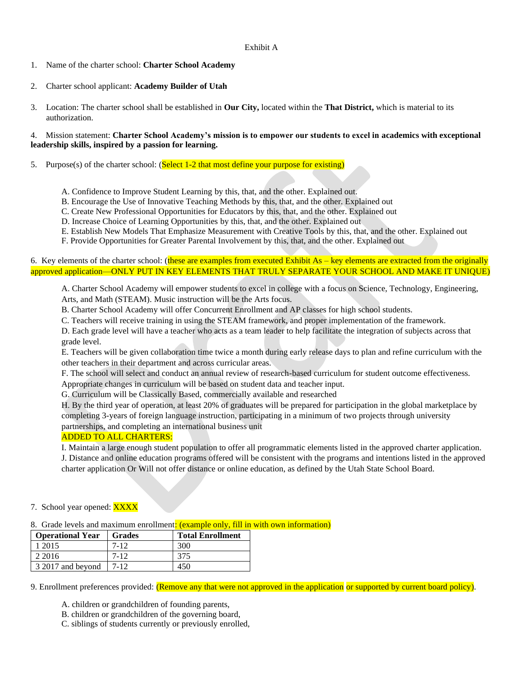#### Exhibit A

- 1. Name of the charter school: **Charter School Academy**
- 2. Charter school applicant: **Academy Builder of Utah**
- 3. Location: The charter school shall be established in **Our City,** located within the **That District,** which is material to its authorization.

#### 4. Mission statement: **Charter School Academy's mission is to empower our students to excel in academics with exceptional leadership skills, inspired by a passion for learning.**

- 5. Purpose(s) of the charter school:  $(Select 1-2$  that most define your purpose for existing)
	- A. Confidence to Improve Student Learning by this, that, and the other. Explained out.
	- B. Encourage the Use of Innovative Teaching Methods by this, that, and the other. Explained out
	- C. Create New Professional Opportunities for Educators by this, that, and the other. Explained out
	- D. Increase Choice of Learning Opportunities by this, that, and the other. Explained out
	- E. Establish New Models That Emphasize Measurement with Creative Tools by this, that, and the other. Explained out
	- F. Provide Opportunities for Greater Parental Involvement by this, that, and the other. Explained out

## 6. Key elements of the charter school: (these are examples from executed Exhibit As – key elements are extracted from the originally approved application—ONLY PUT IN KEY ELEMENTS THAT TRULY SEPARATE YOUR SCHOOL AND MAKE IT UNIQUE)

A. Charter School Academy will empower students to excel in college with a focus on Science, Technology, Engineering, Arts, and Math (STEAM). Music instruction will be the Arts focus.

- B. Charter School Academy will offer Concurrent Enrollment and AP classes for high school students.
- C. Teachers will receive training in using the STEAM framework, and proper implementation of the framework.
- D. Each grade level will have a teacher who acts as a team leader to help facilitate the integration of subjects across that grade level.

E. Teachers will be given collaboration time twice a month during early release days to plan and refine curriculum with the other teachers in their department and across curricular areas.

F. The school will select and conduct an annual review of research-based curriculum for student outcome effectiveness. Appropriate changes in curriculum will be based on student data and teacher input.

G. Curriculum will be Classically Based, commercially available and researched

H. By the third year of operation, at least 20% of graduates will be prepared for participation in the global marketplace by completing 3-years of foreign language instruction, participating in a minimum of two projects through university partnerships, and completing an international business unit

## ADDED TO ALL CHARTERS:

I. Maintain a large enough student population to offer all programmatic elements listed in the approved charter application. J. Distance and online education programs offered will be consistent with the programs and intentions listed in the approved charter application Or Will not offer distance or online education, as defined by the Utah State School Board.

## 7. School year opened: XXXX

8. Grade levels and maximum enrollment: (example only, fill in with own information)

| <b>Operational Year</b> | <b>Grades</b> | <b>Total Enrollment</b> |
|-------------------------|---------------|-------------------------|
| 1 2015                  | 7-12          | 300                     |
| 2 2016                  | $7 - 12$      | 375                     |
| 3 2017 and beyond       | $7 - 12$      | 450                     |

9. Enrollment preferences provided: (Remove any that were not approved in the application or supported by current board policy).

A. children or grandchildren of founding parents,

B. children or grandchildren of the governing board,

C. siblings of students currently or previously enrolled,